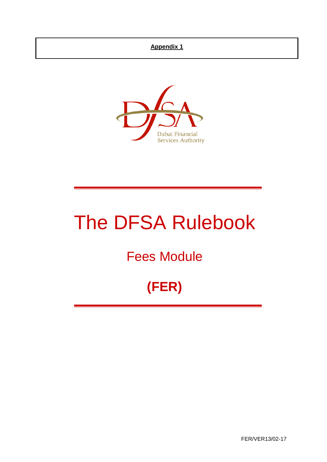## **Appendix 1**



# The DFSA Rulebook

# Fees Module

# **(FER)**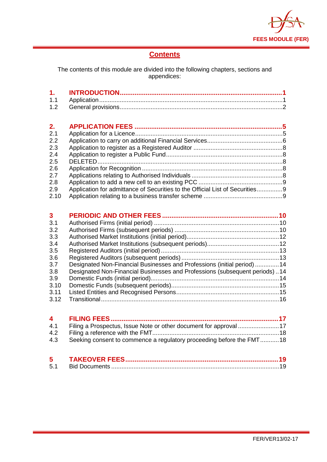

# **Contents**

The contents of this module are divided into the following chapters, sections and appendices:

| 2.   |                                                                              |  |
|------|------------------------------------------------------------------------------|--|
| 2.1  |                                                                              |  |
| 2.2  |                                                                              |  |
| 2.3  |                                                                              |  |
| 2.4  |                                                                              |  |
| 2.5  |                                                                              |  |
| 2.6  |                                                                              |  |
| 2.7  |                                                                              |  |
| 2.8  |                                                                              |  |
| 2.9  | Application for admittance of Securities to the Official List of Securities9 |  |
| 2.10 |                                                                              |  |

| $\mathbf{3}$ |                                                                            |  |
|--------------|----------------------------------------------------------------------------|--|
| 3.1          |                                                                            |  |
| 3.2          |                                                                            |  |
| 3.3          |                                                                            |  |
| 3.4          |                                                                            |  |
| 3.5          |                                                                            |  |
| 3.6          |                                                                            |  |
| 3.7          | Designated Non-Financial Businesses and Professions (initial period) 14    |  |
| 3.8          | Designated Non-Financial Businesses and Professions (subsequent periods)14 |  |
| 3.9          |                                                                            |  |
| 3.10         |                                                                            |  |
| 3.11         |                                                                            |  |
| 3.12         |                                                                            |  |

| 4.1 Filing a Prospectus, Issue Note or other document for approval 17    |  |
|--------------------------------------------------------------------------|--|
|                                                                          |  |
| 4.3 Seeking consent to commence a regulatory proceeding before the FMT18 |  |
|                                                                          |  |

| 5   |  |
|-----|--|
| 5.1 |  |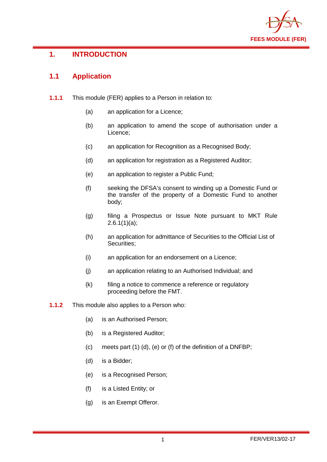

# <span id="page-2-0"></span>**1. INTRODUCTION**

# <span id="page-2-1"></span>**1.1 Application**

- **1.1.1** This module (FER) applies to a Person in relation to:
	- (a) an application for a Licence;
	- (b) an application to amend the scope of authorisation under a Licence;
	- (c) an application for Recognition as a Recognised Body;
	- (d) an application for registration as a Registered Auditor;
	- (e) an application to register a Public Fund;
	- (f) seeking the DFSA's consent to winding up a Domestic Fund or the transfer of the property of a Domestic Fund to another body;
	- (g) filing a Prospectus or Issue Note pursuant to MKT Rule  $2.6.1(1)(a)$ ;
	- (h) an application for admittance of Securities to the Official List of Securities;
	- (i) an application for an endorsement on a Licence;
	- (j) an application relating to an Authorised Individual; and
	- (k) filing a notice to commence a reference or regulatory proceeding before the FMT.
- **1.1.2** This module also applies to a Person who:
	- (a) is an Authorised Person;
	- (b) is a Registered Auditor;
	- (c) meets part (1) (d), (e) or (f) of the definition of a DNFBP;
	- (d) is a Bidder;
	- (e) is a Recognised Person;
	- (f) is a Listed Entity; or
	- (g) is an Exempt Offeror.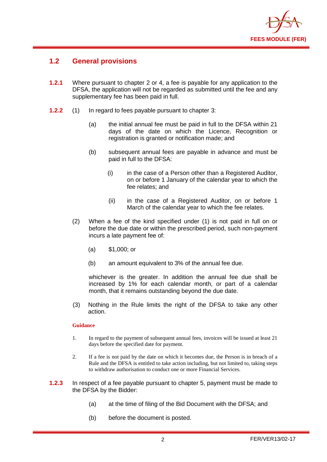

#### <span id="page-3-0"></span>**1.2 General provisions**

- **1.2.1** Where pursuant to chapter 2 or 4, a fee is payable for any application to the DFSA, the application will not be regarded as submitted until the fee and any supplementary fee has been paid in full.
- **1.2.2** (1) In regard to fees payable pursuant to chapter 3:
	- (a) the initial annual fee must be paid in full to the DFSA within 21 days of the date on which the Licence, Recognition or registration is granted or notification made; and
	- (b) subsequent annual fees are payable in advance and must be paid in full to the DFSA:
		- (i) in the case of a Person other than a Registered Auditor, on or before 1 January of the calendar year to which the fee relates; and
		- (ii) in the case of a Registered Auditor, on or before 1 March of the calendar year to which the fee relates.
	- (2) When a fee of the kind specified under (1) is not paid in full on or before the due date or within the prescribed period, such non-payment incurs a late payment fee of:
		- (a) \$1,000; or
		- (b) an amount equivalent to 3% of the annual fee due.

whichever is the greater. In addition the annual fee due shall be increased by 1% for each calendar month, or part of a calendar month, that it remains outstanding beyond the due date.

(3) Nothing in the Rule limits the right of the DFSA to take any other action.

#### **Guidance**

- 1. In regard to the payment of subsequent annual fees, invoices will be issued at least 21 days before the specified date for payment.
- 2. If a fee is not paid by the date on which it becomes due, the Person is in breach of a Rule and the DFSA is entitled to take action including, but not limited to, taking steps to withdraw authorisation to conduct one or more Financial Services.
- **1.2.3** In respect of a fee payable pursuant to chapter 5, payment must be made to the DFSA by the Bidder:
	- (a) at the time of filing of the Bid Document with the DFSA; and
	- (b) before the document is posted.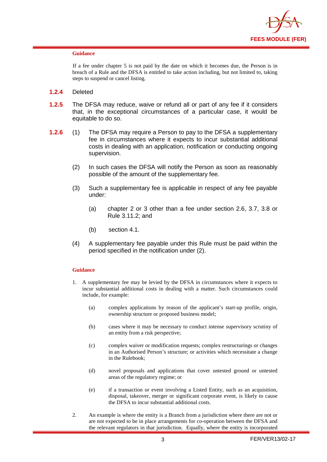

#### **Guidance**

If a fee under chapter 5 is not paid by the date on which it becomes due, the Person is in breach of a Rule and the DFSA is entitled to take action including, but not limited to, taking steps to suspend or cancel listing.

- **1.2.4** Deleted
- **1.2.5** The DFSA may reduce, waive or refund all or part of any fee if it considers that, in the exceptional circumstances of a particular case, it would be equitable to do so.
- **1.2.6** (1) The DFSA may require a Person to pay to the DFSA a supplementary fee in circumstances where it expects to incur substantial additional costs in dealing with an application, notification or conducting ongoing supervision.
	- (2) In such cases the DFSA will notify the Person as soon as reasonably possible of the amount of the supplementary fee.
	- (3) Such a supplementary fee is applicable in respect of any fee payable under:
		- (a) chapter 2 or 3 other than a fee under section 2.6, 3.7, 3.8 or Rule 3.11.2; and
		- (b) section 4.1.
	- (4) A supplementary fee payable under this Rule must be paid within the period specified in the notification under (2).

#### **Guidance**

- 1. A supplementary fee may be levied by the DFSA in circumstances where it expects to incur substantial additional costs in dealing with a matter. Such circumstances could include, for example:
	- (a) complex applications by reason of the applicant's start-up profile, origin, ownership structure or proposed business model;
	- (b) cases where it may be necessary to conduct intense supervisory scrutiny of an entity from a risk perspective;
	- (c) complex waiver or modification requests; complex restructurings or changes in an Authorised Person's structure; or activities which necessitate a change in the Rulebook;
	- (d) novel proposals and applications that cover untested ground or untested areas of the regulatory regime; or
	- (e) if a transaction or event involving a Listed Entity, such as an acquisition, disposal, takeover, merger or significant corporate event, is likely to cause the DFSA to incur substantial additional costs.
- 2. An example is where the entity is a Branch from a jurisdiction where there are not or are not expected to be in place arrangements for co-operation between the DFSA and the relevant regulators in that jurisdiction. Equally, where the entity is incorporated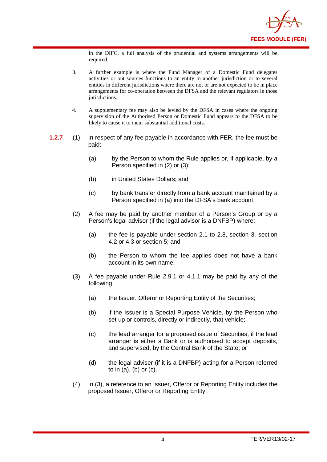

in the DIFC, a full analysis of the prudential and systems arrangements will be required.

- 3. A further example is where the Fund Manager of a Domestic Fund delegates activities or out sources functions to an entity in another jurisdiction or to several entities in different jurisdictions where there are not or are not expected to be in place arrangements for co-operation between the DFSA and the relevant regulators in those jurisdictions.
- 4. A supplementary fee may also be levied by the DFSA in cases where the ongoing supervision of the Authorised Person or Domestic Fund appears to the DFSA to be likely to cause it to incur substantial additional costs.
- **1.2.7** (1) In respect of any fee payable in accordance with FER, the fee must be paid:
	- (a) by the Person to whom the Rule applies or, if applicable, by a Person specified in (2) or (3);
	- (b) in United States Dollars; and
	- (c) by bank transfer directly from a bank account maintained by a Person specified in (a) into the DFSA's bank account.
	- (2) A fee may be paid by another member of a Person's Group or by a Person's legal advisor (if the legal advisor is a DNFBP) where:
		- (a) the fee is payable under section 2.1 to 2.8, section 3, section 4.2 or 4.3 or section 5; and
		- (b) the Person to whom the fee applies does not have a bank account in its own name.
	- (3) A fee payable under Rule 2.9.1 or 4.1.1 may be paid by any of the following:
		- (a) the Issuer, Offeror or Reporting Entity of the Securities;
		- (b) if the Issuer is a Special Purpose Vehicle, by the Person who set up or controls, directly or indirectly, that vehicle;
		- (c) the lead arranger for a proposed issue of Securities, if the lead arranger is either a Bank or is authorised to accept deposits, and supervised, by the Central Bank of the State; or
		- (d) the legal adviser (if it is a DNFBP) acting for a Person referred to in (a), (b) or (c).
	- (4) In (3), a reference to an Issuer, Offeror or Reporting Entity includes the proposed Issuer, Offeror or Reporting Entity.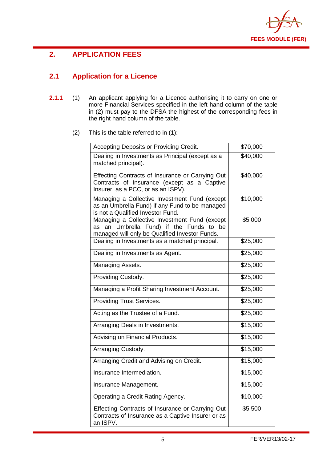

# <span id="page-6-0"></span>**2. APPLICATION FEES**

# <span id="page-6-1"></span>**2.1 Application for a Licence**

- **2.1.1** (1) An applicant applying for a Licence authorising it to carry on one or more Financial Services specified in the left hand column of the table in (2) must pay to the DFSA the highest of the corresponding fees in the right hand column of the table.
	- (2) This is the table referred to in (1):

| Accepting Deposits or Providing Credit.                                                                                                       | \$70,000 |
|-----------------------------------------------------------------------------------------------------------------------------------------------|----------|
| Dealing in Investments as Principal (except as a<br>matched principal).                                                                       | \$40,000 |
| Effecting Contracts of Insurance or Carrying Out<br>Contracts of Insurance (except as a Captive<br>Insurer, as a PCC, or as an ISPV).         | \$40,000 |
| Managing a Collective Investment Fund (except<br>as an Umbrella Fund) if any Fund to be managed<br>is not a Qualified Investor Fund.          | \$10,000 |
| Managing a Collective Investment Fund (except<br>Umbrella Fund) if the Funds to be<br>as an<br>managed will only be Qualified Investor Funds. | \$5,000  |
| Dealing in Investments as a matched principal.                                                                                                | \$25,000 |
| Dealing in Investments as Agent.                                                                                                              | \$25,000 |
| Managing Assets.                                                                                                                              | \$25,000 |
| Providing Custody.                                                                                                                            | \$25,000 |
| Managing a Profit Sharing Investment Account.                                                                                                 | \$25,000 |
| <b>Providing Trust Services.</b>                                                                                                              | \$25,000 |
| Acting as the Trustee of a Fund.                                                                                                              | \$25,000 |
| Arranging Deals in Investments.                                                                                                               | \$15,000 |
| Advising on Financial Products.                                                                                                               | \$15,000 |
| Arranging Custody.                                                                                                                            | \$15,000 |
| Arranging Credit and Advising on Credit.                                                                                                      | \$15,000 |
| Insurance Intermediation.                                                                                                                     | \$15,000 |
| Insurance Management.                                                                                                                         | \$15,000 |
| Operating a Credit Rating Agency.                                                                                                             | \$10,000 |
| Effecting Contracts of Insurance or Carrying Out<br>Contracts of Insurance as a Captive Insurer or as<br>an ISPV.                             | \$5,500  |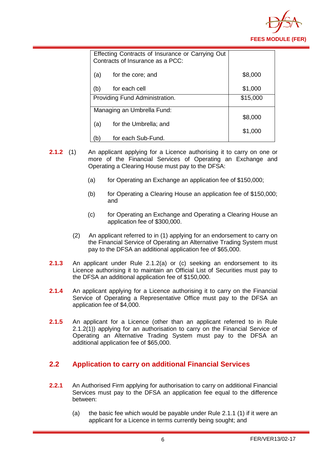

|              | Effecting Contracts of Insurance or Carrying Out<br>Contracts of Insurance as a PCC: |          |
|--------------|--------------------------------------------------------------------------------------|----------|
| (a)          | for the core; and                                                                    | \$8,000  |
| (b)          | for each cell                                                                        | \$1,000  |
|              | Providing Fund Administration.                                                       | \$15,000 |
|              | Managing an Umbrella Fund:                                                           |          |
|              |                                                                                      | \$8,000  |
| (a)          | for the Umbrella; and                                                                | \$1,000  |
| $\mathsf{b}$ | for each Sub-Fund.                                                                   |          |

- **2.1.2** (1) An applicant applying for a Licence authorising it to carry on one or more of the Financial Services of Operating an Exchange and Operating a Clearing House must pay to the DFSA:
	- (a) for Operating an Exchange an application fee of  $$150,000$ ;
	- (b) for Operating a Clearing House an application fee of \$150,000; and
	- (c) for Operating an Exchange and Operating a Clearing House an application fee of \$300,000.
	- (2) An applicant referred to in (1) applying for an endorsement to carry on the Financial Service of Operating an Alternative Trading System must pay to the DFSA an additional application fee of \$65,000.
- **2.1.3** An applicant under Rule 2.1.2(a) or (c) seeking an endorsement to its Licence authorising it to maintain an Official List of Securities must pay to the DFSA an additional application fee of \$150,000.
- **2.1.4** An applicant applying for a Licence authorising it to carry on the Financial Service of Operating a Representative Office must pay to the DFSA an application fee of \$4,000.
- **2.1.5** An applicant for a Licence (other than an applicant referred to in Rule 2.1.2(1)) applying for an authorisation to carry on the Financial Service of Operating an Alternative Trading System must pay to the DFSA an additional application fee of \$65,000.

#### <span id="page-7-0"></span>**2.2 Application to carry on additional Financial Services**

- **2.2.1** An Authorised Firm applying for authorisation to carry on additional Financial Services must pay to the DFSA an application fee equal to the difference between:
	- (a) the basic fee which would be payable under Rule 2.1.1 (1) if it were an applicant for a Licence in terms currently being sought; and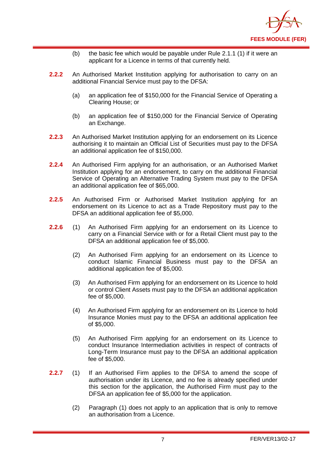

- (b) the basic fee which would be payable under Rule 2.1.1 (1) if it were an applicant for a Licence in terms of that currently held.
- **2.2.2** An Authorised Market Institution applying for authorisation to carry on an additional Financial Service must pay to the DFSA:
	- (a) an application fee of \$150,000 for the Financial Service of Operating a Clearing House; or
	- (b) an application fee of \$150,000 for the Financial Service of Operating an Exchange.
- **2.2.3** An Authorised Market Institution applying for an endorsement on its Licence authorising it to maintain an Official List of Securities must pay to the DFSA an additional application fee of \$150,000.
- **2.2.4** An Authorised Firm applying for an authorisation, or an Authorised Market Institution applying for an endorsement, to carry on the additional Financial Service of Operating an Alternative Trading System must pay to the DFSA an additional application fee of \$65,000.
- **2.2.5** An Authorised Firm or Authorised Market Institution applying for an endorsement on its Licence to act as a Trade Repository must pay to the DFSA an additional application fee of \$5,000.
- **2.2.6** (1) An Authorised Firm applying for an endorsement on its Licence to carry on a Financial Service with or for a Retail Client must pay to the DFSA an additional application fee of \$5,000.
	- (2) An Authorised Firm applying for an endorsement on its Licence to conduct Islamic Financial Business must pay to the DFSA an additional application fee of \$5,000.
	- (3) An Authorised Firm applying for an endorsement on its Licence to hold or control Client Assets must pay to the DFSA an additional application fee of \$5,000.
	- (4) An Authorised Firm applying for an endorsement on its Licence to hold Insurance Monies must pay to the DFSA an additional application fee of \$5,000.
	- (5) An Authorised Firm applying for an endorsement on its Licence to conduct Insurance Intermediation activities in respect of contracts of Long-Term Insurance must pay to the DFSA an additional application fee of \$5,000.
- <span id="page-8-0"></span>**2.2.7** (1) If an Authorised Firm applies to the DFSA to amend the scope of authorisation under its Licence, and no fee is already specified under this section for the application, the Authorised Firm must pay to the DFSA an application fee of \$5,000 for the application.
	- (2) Paragraph (1) does not apply to an application that is only to remove an authorisation from a Licence.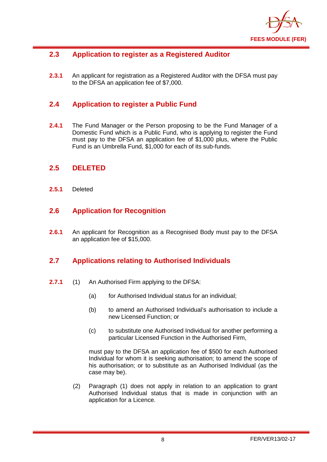

# **2.3 Application to register as a Registered Auditor**

**2.3.1** An applicant for registration as a Registered Auditor with the DFSA must pay to the DFSA an application fee of \$7,000.

#### <span id="page-9-0"></span>**2.4 Application to register a Public Fund**

**2.4.1** The Fund Manager or the Person proposing to be the Fund Manager of a Domestic Fund which is a Public Fund, who is applying to register the Fund must pay to the DFSA an application fee of \$1,000 plus, where the Public Fund is an Umbrella Fund, \$1,000 for each of its sub-funds.

#### <span id="page-9-1"></span>**2.5 DELETED**

**2.5.1** Deleted

#### <span id="page-9-2"></span>**2.6 Application for Recognition**

**2.6.1** An applicant for Recognition as a Recognised Body must pay to the DFSA an application fee of \$15,000.

#### <span id="page-9-3"></span>**2.7 Applications relating to Authorised Individuals**

- **2.7.1** (1) An Authorised Firm applying to the DFSA:
	- (a) for Authorised Individual status for an individual;
	- (b) to amend an Authorised Individual's authorisation to include a new Licensed Function; or
	- (c) to substitute one Authorised Individual for another performing a particular Licensed Function in the Authorised Firm,

must pay to the DFSA an application fee of \$500 for each Authorised Individual for whom it is seeking authorisation; to amend the scope of his authorisation; or to substitute as an Authorised Individual (as the case may be).

(2) Paragraph (1) does not apply in relation to an application to grant Authorised Individual status that is made in conjunction with an application for a Licence.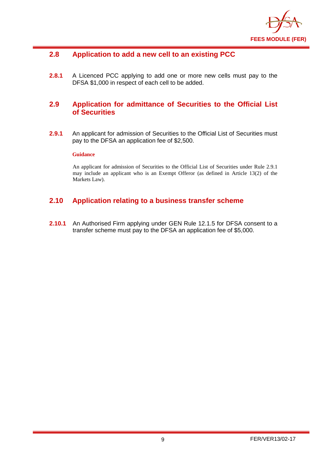

#### <span id="page-10-0"></span>**2.8 Application to add a new cell to an existing PCC**

**2.8.1** A Licenced PCC applying to add one or more new cells must pay to the DFSA \$1,000 in respect of each cell to be added.

#### <span id="page-10-1"></span>**2.9 Application for admittance of Securities to the Official List of Securities**

**2.9.1** An applicant for admission of Securities to the Official List of Securities must pay to the DFSA an application fee of \$2,500.

#### **Guidance**

An applicant for admission of Securities to the Official List of Securities under Rule 2.9.1 may include an applicant who is an Exempt Offeror (as defined in Article 13(2) of the Markets Law).

#### <span id="page-10-2"></span>**2.10 Application relating to a business transfer scheme**

**2.10.1** An Authorised Firm applying under GEN Rule 12.1.5 for DFSA consent to a transfer scheme must pay to the DFSA an application fee of \$5,000.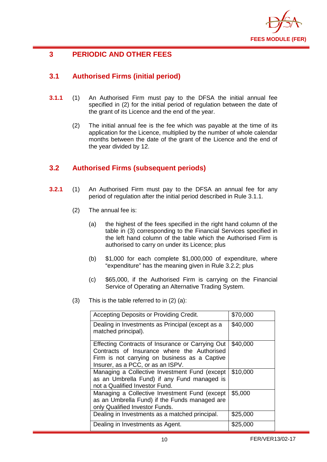

# <span id="page-11-0"></span>**3 PERIODIC AND OTHER FEES**

# <span id="page-11-1"></span>**3.1 Authorised Firms (initial period)**

- **3.1.1** (1) An Authorised Firm must pay to the DFSA the initial annual fee specified in (2) for the initial period of regulation between the date of the grant of its Licence and the end of the year.
	- (2) The initial annual fee is the fee which was payable at the time of its application for the Licence, multiplied by the number of whole calendar months between the date of the grant of the Licence and the end of the year divided by 12.

#### <span id="page-11-2"></span>**3.2 Authorised Firms (subsequent periods)**

- **3.2.1** (1) An Authorised Firm must pay to the DFSA an annual fee for any period of regulation after the initial period described in Rule 3.1.1.
	- (2) The annual fee is:
		- (a) the highest of the fees specified in the right hand column of the table in (3) corresponding to the Financial Services specified in the left hand column of the table which the Authorised Firm is authorised to carry on under its Licence; plus
		- (b) \$1,000 for each complete \$1,000,000 of expenditure, where "expenditure" has the meaning given in Rule 3.2.2; plus
		- (c) \$65,000, if the Authorised Firm is carrying on the Financial Service of Operating an Alternative Trading System.
	- (3) This is the table referred to in (2) (a):

| Accepting Deposits or Providing Credit.                                                                                                                                               | \$70,000 |
|---------------------------------------------------------------------------------------------------------------------------------------------------------------------------------------|----------|
| Dealing in Investments as Principal (except as a<br>matched principal).                                                                                                               | \$40,000 |
| Effecting Contracts of Insurance or Carrying Out<br>Contracts of Insurance where the Authorised<br>Firm is not carrying on business as a Captive<br>Insurer, as a PCC, or as an ISPV. | \$40,000 |
| Managing a Collective Investment Fund (except<br>as an Umbrella Fund) if any Fund managed is<br>not a Qualified Investor Fund.                                                        | \$10,000 |
| Managing a Collective Investment Fund (except<br>as an Umbrella Fund) if the Funds managed are<br>only Qualified Investor Funds.                                                      | \$5,000  |
| Dealing in Investments as a matched principal.                                                                                                                                        | \$25,000 |
| Dealing in Investments as Agent.                                                                                                                                                      | \$25,000 |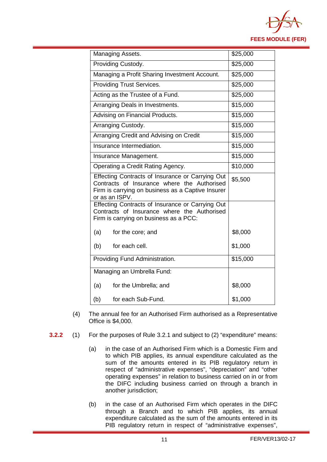

| Managing Assets.                                                                                                                                                       | \$25,000 |
|------------------------------------------------------------------------------------------------------------------------------------------------------------------------|----------|
| Providing Custody.                                                                                                                                                     | \$25,000 |
| Managing a Profit Sharing Investment Account.                                                                                                                          | \$25,000 |
| <b>Providing Trust Services.</b>                                                                                                                                       | \$25,000 |
| Acting as the Trustee of a Fund.                                                                                                                                       | \$25,000 |
| Arranging Deals in Investments.                                                                                                                                        | \$15,000 |
| Advising on Financial Products.                                                                                                                                        | \$15,000 |
| Arranging Custody.                                                                                                                                                     | \$15,000 |
| Arranging Credit and Advising on Credit                                                                                                                                | \$15,000 |
| Insurance Intermediation.                                                                                                                                              | \$15,000 |
| Insurance Management.                                                                                                                                                  | \$15,000 |
| Operating a Credit Rating Agency.                                                                                                                                      | \$10,000 |
| Effecting Contracts of Insurance or Carrying Out<br>Contracts of Insurance where the Authorised<br>Firm is carrying on business as a Captive Insurer<br>or as an ISPV. | \$5,500  |
| Effecting Contracts of Insurance or Carrying Out<br>Contracts of Insurance where the Authorised<br>Firm is carrying on business as a PCC:                              |          |
| (a)<br>for the core; and                                                                                                                                               | \$8,000  |
| (b)<br>for each cell.                                                                                                                                                  | \$1,000  |
| Providing Fund Administration.                                                                                                                                         | \$15,000 |
| Managing an Umbrella Fund:                                                                                                                                             |          |
| (a)<br>for the Umbrella; and                                                                                                                                           | \$8,000  |
| (b)<br>for each Sub-Fund.                                                                                                                                              | \$1,000  |

- (4) The annual fee for an Authorised Firm authorised as a Representative Office is \$4,000.
- **3.2.2** (1) For the purposes of Rule 3.2.1 and subject to (2) "expenditure" means:
	- (a) in the case of an Authorised Firm which is a Domestic Firm and to which PIB applies, its annual expenditure calculated as the sum of the amounts entered in its PIB regulatory return in respect of "administrative expenses", "depreciation" and "other operating expenses" in relation to business carried on in or from the DIFC including business carried on through a branch in another jurisdiction;
	- (b) in the case of an Authorised Firm which operates in the DIFC through a Branch and to which PIB applies, its annual expenditure calculated as the sum of the amounts entered in its PIB regulatory return in respect of "administrative expenses",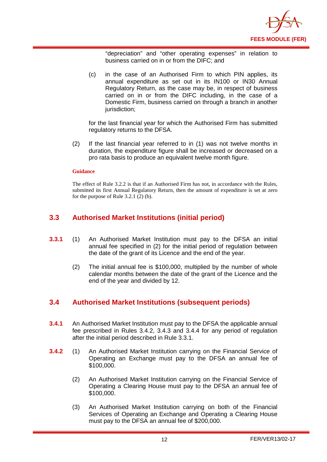

"depreciation" and "other operating expenses" in relation to business carried on in or from the DIFC; and

(c) in the case of an Authorised Firm to which PIN applies, its annual expenditure as set out in its IN100 or IN30 Annual Regulatory Return, as the case may be, in respect of business carried on in or from the DIFC including, in the case of a Domestic Firm, business carried on through a branch in another jurisdiction:

for the last financial year for which the Authorised Firm has submitted regulatory returns to the DFSA.

(2) If the last financial year referred to in (1) was not twelve months in duration, the expenditure figure shall be increased or decreased on a pro rata basis to produce an equivalent twelve month figure.

#### **Guidance**

The effect of Rule 3.2.2 is that if an Authorised Firm has not, in accordance with the Rules, submitted its first Annual Regulatory Return, then the amount of expenditure is set at zero for the purpose of Rule 3.2.1 (2) (b).

#### <span id="page-13-0"></span>**3.3 Authorised Market Institutions (initial period)**

- **3.3.1** (1) An Authorised Market Institution must pay to the DFSA an initial annual fee specified in (2) for the initial period of regulation between the date of the grant of its Licence and the end of the year.
	- (2) The initial annual fee is \$100,000, multiplied by the number of whole calendar months between the date of the grant of the Licence and the end of the year and divided by 12.

#### <span id="page-13-1"></span>**3.4 Authorised Market Institutions (subsequent periods)**

- **3.4.1** An Authorised Market Institution must pay to the DFSA the applicable annual fee prescribed in Rules 3.4.2, 3.4.3 and 3.4.4 for any period of regulation after the initial period described in Rule 3.3.1.
- **3.4.2** (1) An Authorised Market Institution carrying on the Financial Service of Operating an Exchange must pay to the DFSA an annual fee of \$100,000.
	- (2) An Authorised Market Institution carrying on the Financial Service of Operating a Clearing House must pay to the DFSA an annual fee of \$100,000.
	- (3) An Authorised Market Institution carrying on both of the Financial Services of Operating an Exchange and Operating a Clearing House must pay to the DFSA an annual fee of \$200,000.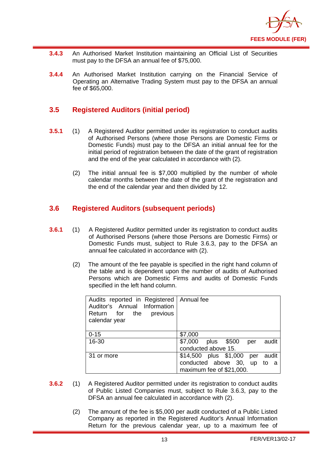

- **3.4.3** An Authorised Market Institution maintaining an Official List of Securities must pay to the DFSA an annual fee of \$75,000.
- **3.4.4** An Authorised Market Institution carrying on the Financial Service of Operating an Alternative Trading System must pay to the DFSA an annual fee of \$65,000.

#### <span id="page-14-0"></span>**3.5 Registered Auditors (initial period)**

- **3.5.1** (1) A Registered Auditor permitted under its registration to conduct audits of Authorised Persons (where those Persons are Domestic Firms or Domestic Funds) must pay to the DFSA an initial annual fee for the initial period of registration between the date of the grant of registration and the end of the year calculated in accordance with (2).
	- (2) The initial annual fee is \$7,000 multiplied by the number of whole calendar months between the date of the grant of the registration and the end of the calendar year and then divided by 12.

#### <span id="page-14-1"></span>**3.6 Registered Auditors (subsequent periods)**

- **3.6.1** (1) A Registered Auditor permitted under its registration to conduct audits of Authorised Persons (where those Persons are Domestic Firms) or Domestic Funds must, subject to Rule 3.6.3, pay to the DFSA an annual fee calculated in accordance with (2).
	- (2) The amount of the fee payable is specified in the right hand column of the table and is dependent upon the number of audits of Authorised Persons which are Domestic Firms and audits of Domestic Funds specified in the left hand column.

| Audits reported in Registered   Annual fee<br>Auditor's Annual Information<br>Return for the previous<br>calendar year |                                       |
|------------------------------------------------------------------------------------------------------------------------|---------------------------------------|
| $0 - 15$                                                                                                               | \$7,000                               |
| 16-30                                                                                                                  | \$7,000<br>plus \$500<br>audit<br>per |
|                                                                                                                        | conducted above 15.                   |
| 31 or more                                                                                                             | \$14,500 plus \$1,000 per audit       |
|                                                                                                                        | conducted above 30, up to a           |
|                                                                                                                        | maximum fee of \$21,000.              |

- **3.6.2** (1) A Registered Auditor permitted under its registration to conduct audits of Public Listed Companies must, subject to Rule 3.6.3, pay to the DFSA an annual fee calculated in accordance with (2).
	- (2) The amount of the fee is \$5,000 per audit conducted of a Public Listed Company as reported in the Registered Auditor's Annual Information Return for the previous calendar year, up to a maximum fee of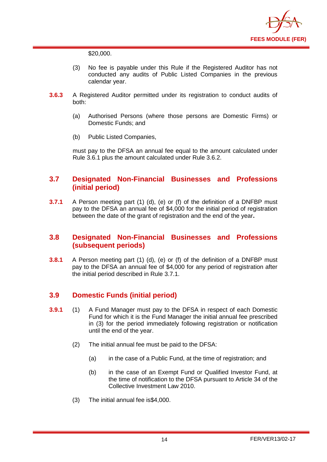

\$20,000.

- (3) No fee is payable under this Rule if the Registered Auditor has not conducted any audits of Public Listed Companies in the previous calendar year.
- **3.6.3** A Registered Auditor permitted under its registration to conduct audits of both:
	- (a) Authorised Persons (where those persons are Domestic Firms) or Domestic Funds; and
	- (b) Public Listed Companies,

must pay to the DFSA an annual fee equal to the amount calculated under Rule 3.6.1 plus the amount calculated under Rule 3.6.2.

#### <span id="page-15-0"></span>**3.7 Designated Non-Financial Businesses and Professions (initial period)**

**3.7.1** A Person meeting part (1) (d), (e) or (f) of the definition of a DNFBP must pay to the DFSA an annual fee of \$4,000 for the initial period of registration between the date of the grant of registration and the end of the year**.** 

#### <span id="page-15-1"></span>**3.8 Designated Non-Financial Businesses and Professions (subsequent periods)**

**3.8.1** A Person meeting part (1) (d), (e) or (f) of the definition of a DNFBP must pay to the DFSA an annual fee of \$4,000 for any period of registration after the initial period described in Rule 3.7.1.

# <span id="page-15-2"></span>**3.9 Domestic Funds (initial period)**

- **3.9.1** (1) A Fund Manager must pay to the DFSA in respect of each Domestic Fund for which it is the Fund Manager the initial annual fee prescribed in (3) for the period immediately following registration or notification until the end of the year.
	- (2) The initial annual fee must be paid to the DFSA:
		- (a) in the case of a Public Fund, at the time of registration; and
		- (b) in the case of an Exempt Fund or Qualified Investor Fund, at the time of notification to the DFSA pursuant to Article 34 of the Collective Investment Law 2010.
	- (3) The initial annual fee is\$4,000.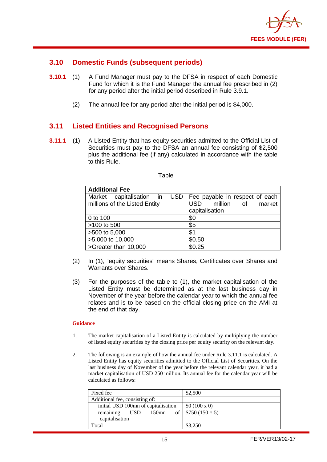

#### <span id="page-16-0"></span>**3.10 Domestic Funds (subsequent periods)**

- **3.10.1** (1) A Fund Manager must pay to the DFSA in respect of each Domestic Fund for which it is the Fund Manager the annual fee prescribed in (2) for any period after the initial period described in Rule 3.9.1.
	- (2) The annual fee for any period after the initial period is \$4,000.

#### <span id="page-16-1"></span>**3.11 Listed Entities and Recognised Persons**

**3.11.1** (1) A Listed Entity that has equity securities admitted to the Official List of Securities must pay to the DFSA an annual fee consisting of \$2,500 plus the additional fee (if any) calculated in accordance with the table to this Rule.

| <b>Additional Fee</b>                                     |                                                                                              |
|-----------------------------------------------------------|----------------------------------------------------------------------------------------------|
| Market capitalisation in<br>millions of the Listed Entity | USD   Fee payable in respect of each<br>million of<br>market<br><b>USD</b><br>capitalisation |
| 0 to 100                                                  | \$0                                                                                          |
| >100 to 500                                               | \$5                                                                                          |
| >500 to 5,000                                             | \$1                                                                                          |
| >5,000 to 10,000                                          | \$0.50                                                                                       |
| >Greater than 10,000                                      | \$0.25                                                                                       |

- (2) In (1), "equity securities" means Shares, Certificates over Shares and Warrants over Shares.
- (3) For the purposes of the table to (1), the market capitalisation of the Listed Entity must be determined as at the last business day in November of the year before the calendar year to which the annual fee relates and is to be based on the official closing price on the AMI at the end of that day.

#### **Guidance**

- 1. The market capitalisation of a Listed Entity is calculated by multiplying the number of listed equity securities by the closing price per equity security on the relevant day.
- 2. The following is an example of how the annual fee under Rule 3.11.1 is calculated. A Listed Entity has equity securities admitted to the Official List of Securities. On the last business day of November of the year before the relevant calendar year, it had a market capitalisation of USD 250 million. Its annual fee for the calendar year will be calculated as follows:

| Fixed fee                           | \$2,500                           |
|-------------------------------------|-----------------------------------|
| Additional fee, consisting of:      |                                   |
| initial USD 100mn of capitalisation | \$0 (100 x 0)                     |
| remaining<br>USD.                   | 150mn of   \$750 (150 $\times$ 5) |
| capitalisation                      |                                   |
| Total                               | \$3,250                           |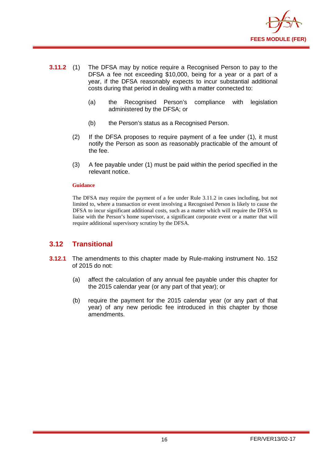

- **3.11.2** (1) The DFSA may by notice require a Recognised Person to pay to the DFSA a fee not exceeding \$10,000, being for a year or a part of a year, if the DFSA reasonably expects to incur substantial additional costs during that period in dealing with a matter connected to:
	- (a) the Recognised Person's compliance with legislation administered by the DFSA; or
	- (b) the Person's status as a Recognised Person.
	- (2) If the DFSA proposes to require payment of a fee under (1), it must notify the Person as soon as reasonably practicable of the amount of the fee.
	- (3) A fee payable under (1) must be paid within the period specified in the relevant notice.

#### **Guidance**

The DFSA may require the payment of a fee under Rule 3.11.2 in cases including, but not limited to, where a transaction or event involving a Recognised Person is likely to cause the DFSA to incur significant additional costs, such as a matter which will require the DFSA to liaise with the Person's home supervisor, a significant corporate event or a matter that will require additional supervisory scrutiny by the DFSA.

#### <span id="page-17-0"></span>**3.12 Transitional**

- **3.12.1** The amendments to this chapter made by Rule-making instrument No. 152 of 2015 do not:
	- (a) affect the calculation of any annual fee payable under this chapter for the 2015 calendar year (or any part of that year); or
	- (b) require the payment for the 2015 calendar year (or any part of that year) of any new periodic fee introduced in this chapter by those amendments.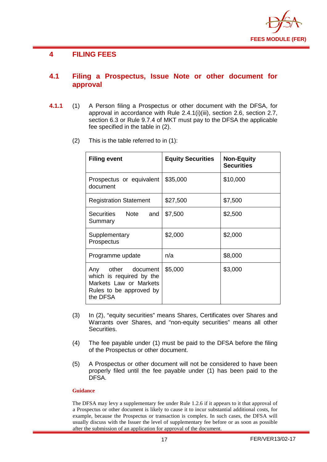

#### <span id="page-18-0"></span>**4 FILING FEES**

#### <span id="page-18-1"></span>**4.1 Filing a Prospectus, Issue Note or other document for approval**

- **4.1.1** (1) A Person filing a Prospectus or other document with the DFSA, for approval in accordance with Rule 2.4.1(i)(iii), section 2.6, section 2.7, section 6.3 or Rule 9.7.4 of MKT must pay to the DFSA the applicable fee specified in the table in (2).
	- (2) This is the table referred to in (1):

| <b>Filing event</b>                                                                                             | <b>Equity Securities</b> | <b>Non-Equity</b><br><b>Securities</b> |
|-----------------------------------------------------------------------------------------------------------------|--------------------------|----------------------------------------|
| Prospectus or equivalent<br>document                                                                            | \$35,000                 | \$10,000                               |
| <b>Registration Statement</b>                                                                                   | \$27,500                 | \$7,500                                |
| Securities Note<br>and<br>Summary                                                                               | \$7,500                  | \$2,500                                |
| Supplementary<br>Prospectus                                                                                     | \$2,000                  | \$2,000                                |
| Programme update                                                                                                | n/a                      | \$8,000                                |
| Any other document<br>which is required by the<br>Markets Law or Markets<br>Rules to be approved by<br>the DFSA | \$5,000                  | \$3,000                                |

- (3) In (2), "equity securities" means Shares, Certificates over Shares and Warrants over Shares, and "non-equity securities" means all other Securities.
- (4) The fee payable under (1) must be paid to the DFSA before the filing of the Prospectus or other document.
- (5) A Prospectus or other document will not be considered to have been properly filed until the fee payable under (1) has been paid to the DFSA.

#### **Guidance**

The DFSA may levy a supplementary fee under Rule 1.2.6 if it appears to it that approval of a Prospectus or other document is likely to cause it to incur substantial additional costs, for example, because the Prospectus or transaction is complex. In such cases, the DFSA will usually discuss with the Issuer the level of supplementary fee before or as soon as possible after the submission of an application for approval of the document.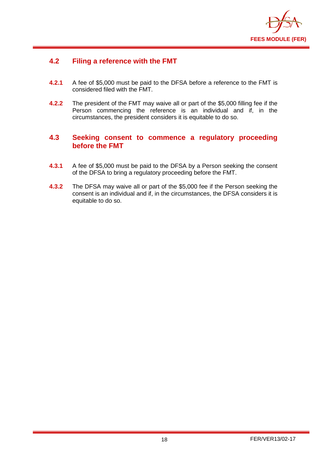

#### <span id="page-19-0"></span>**4.2 Filing a reference with the FMT**

- **4.2.1** A fee of \$5,000 must be paid to the DFSA before a reference to the FMT is considered filed with the FMT.
- **4.2.2** The president of the FMT may waive all or part of the \$5,000 filling fee if the Person commencing the reference is an individual and if, in the circumstances, the president considers it is equitable to do so.

#### <span id="page-19-1"></span>**4.3 Seeking consent to commence a regulatory proceeding before the FMT**

- **4.3.1** A fee of \$5,000 must be paid to the DFSA by a Person seeking the consent of the DFSA to bring a regulatory proceeding before the FMT.
- **4.3.2** The DFSA may waive all or part of the \$5,000 fee if the Person seeking the consent is an individual and if, in the circumstances, the DFSA considers it is equitable to do so.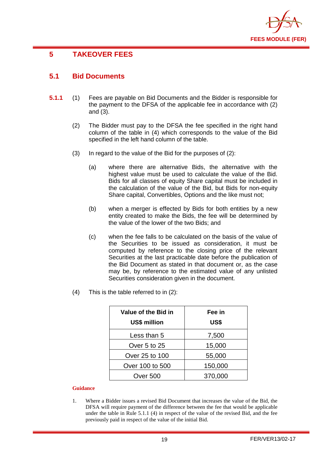

# <span id="page-20-0"></span>**5 TAKEOVER FEES**

#### <span id="page-20-1"></span>**5.1 Bid Documents**

- **5.1.1** (1) Fees are payable on Bid Documents and the Bidder is responsible for the payment to the DFSA of the applicable fee in accordance with (2) and (3).
	- (2) The Bidder must pay to the DFSA the fee specified in the right hand column of the table in (4) which corresponds to the value of the Bid specified in the left hand column of the table.
	- (3) In regard to the value of the Bid for the purposes of (2):
		- (a) where there are alternative Bids, the alternative with the highest value must be used to calculate the value of the Bid. Bids for all classes of equity Share capital must be included in the calculation of the value of the Bid, but Bids for non-equity Share capital, Convertibles, Options and the like must not;
		- (b) when a merger is effected by Bids for both entities by a new entity created to make the Bids, the fee will be determined by the value of the lower of the two Bids; and
		- (c) when the fee falls to be calculated on the basis of the value of the Securities to be issued as consideration, it must be computed by reference to the closing price of the relevant Securities at the last practicable date before the publication of the Bid Document as stated in that document or, as the case may be, by reference to the estimated value of any unlisted Securities consideration given in the document.
	- (4) This is the table referred to in (2):

| Value of the Bid in<br><b>US\$ million</b> | Fee in<br>US\$ |
|--------------------------------------------|----------------|
| Less than 5                                | 7,500          |
| Over 5 to 25                               | 15,000         |
| Over 25 to 100                             | 55,000         |
| Over 100 to 500                            | 150,000        |
| Over 500                                   | 370,000        |

#### **Guidance**

1. Where a Bidder issues a revised Bid Document that increases the value of the Bid, the DFSA will require payment of the difference between the fee that would be applicable under the table in Rule 5.1.1 (4) in respect of the value of the revised Bid, and the fee previously paid in respect of the value of the initial Bid.